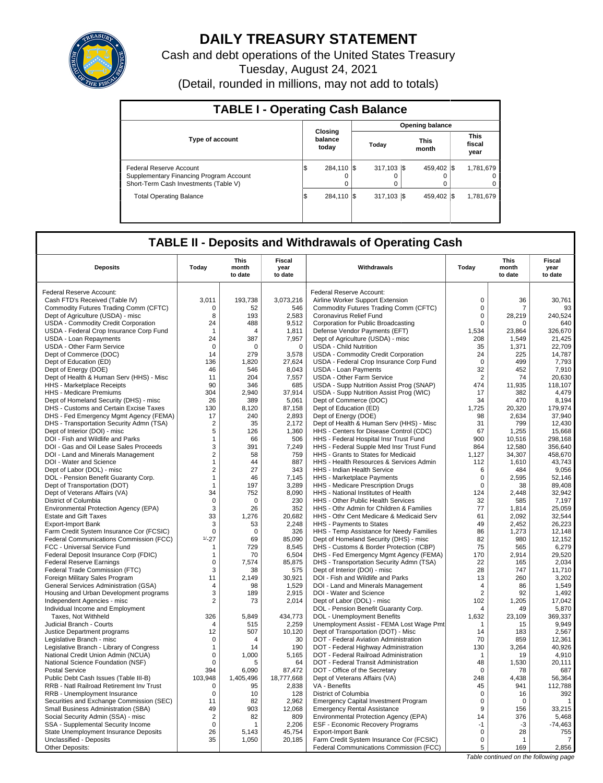

# **DAILY TREASURY STATEMENT**

Cash and debt operations of the United States Treasury Tuesday, August 24, 2021 (Detail, rounded in millions, may not add to totals)

| <b>TABLE I - Operating Cash Balance</b>                                                                     |                             |                         |                      |                               |  |  |  |  |  |
|-------------------------------------------------------------------------------------------------------------|-----------------------------|-------------------------|----------------------|-------------------------------|--|--|--|--|--|
|                                                                                                             |                             | <b>Opening balance</b>  |                      |                               |  |  |  |  |  |
| <b>Type of account</b>                                                                                      | Closing<br>balance<br>today | Today                   | <b>This</b><br>month | <b>This</b><br>fiscal<br>year |  |  |  |  |  |
| Federal Reserve Account<br>Supplementary Financing Program Account<br>Short-Term Cash Investments (Table V) | 284.110 \\$<br>I\$          | 317.103 \\$<br>$\Omega$ | 459.402 \\$<br>0     | 1,781,679<br>$\Omega$<br>0    |  |  |  |  |  |
| <b>Total Operating Balance</b>                                                                              | 284.110 \\$<br>1\$          | $317,103$ \$            | 459.402 \\$          | 1,781,679                     |  |  |  |  |  |

## **TABLE II - Deposits and Withdrawals of Operating Cash**

| <b>Deposits</b>                                                       | Today              | <b>This</b><br>month<br>to date | <b>Fiscal</b><br>year<br>to date | Withdrawals                                                                        | Today          | This<br>month<br>to date | Fiscal<br>year<br>to date |
|-----------------------------------------------------------------------|--------------------|---------------------------------|----------------------------------|------------------------------------------------------------------------------------|----------------|--------------------------|---------------------------|
| Federal Reserve Account:                                              |                    |                                 |                                  | Federal Reserve Account:                                                           |                |                          |                           |
| Cash FTD's Received (Table IV)                                        | 3,011              | 193,738                         | 3,073,216                        | Airline Worker Support Extension                                                   | $\mathbf 0$    | 36                       | 30,761                    |
| Commodity Futures Trading Comm (CFTC)                                 | 0                  | 52                              | 546                              | Commodity Futures Trading Comm (CFTC)                                              | $\mathbf 0$    | 7                        | 93                        |
| Dept of Agriculture (USDA) - misc                                     | 8                  | 193                             | 2,583                            | Coronavirus Relief Fund                                                            | $\mathsf 0$    | 28,219                   | 240,524                   |
| <b>USDA - Commodity Credit Corporation</b>                            | 24                 | 488                             | 9,512                            | Corporation for Public Broadcasting                                                | $\mathbf 0$    | 0                        | 640                       |
| USDA - Federal Crop Insurance Corp Fund                               | $\mathbf{1}$       | $\Delta$                        | 1,811                            | Defense Vendor Payments (EFT)                                                      | 1,534          | 23,864                   | 326,670                   |
| USDA - Loan Repayments                                                | 24                 | 387                             | 7.957                            | Dept of Agriculture (USDA) - misc                                                  | 208            | 1.549                    | 21,425                    |
| <b>USDA - Other Farm Service</b>                                      | $\mathbf 0$        | $\mathbf 0$                     | $\mathbf 0$                      | <b>USDA - Child Nutrition</b>                                                      | 35             | 1,371                    | 22,709                    |
| Dept of Commerce (DOC)                                                | 14                 | 279                             | 3,578                            | <b>USDA - Commodity Credit Corporation</b>                                         | 24             | 225                      | 14.787                    |
| Dept of Education (ED)                                                | 136                | 1,820                           | 27,624                           | USDA - Federal Crop Insurance Corp Fund                                            | $\mathbf 0$    | 499                      | 7,793                     |
| Dept of Energy (DOE)                                                  | 46                 | 546                             | 8,043                            | <b>USDA - Loan Payments</b>                                                        | 32             | 452                      | 7,910                     |
| Dept of Health & Human Serv (HHS) - Misc                              | 11                 | 204                             | 7,557                            | <b>USDA - Other Farm Service</b>                                                   | $\overline{2}$ | 74                       | 20,630                    |
| <b>HHS</b> - Marketplace Receipts                                     | 90                 | 346                             | 685                              | USDA - Supp Nutrition Assist Prog (SNAP)                                           | 474            | 11,935                   | 118,107                   |
| HHS - Medicare Premiums                                               | 304                | 2.940                           | 37,914                           | USDA - Supp Nutrition Assist Prog (WIC)                                            | 17             | 382                      | 4.479                     |
| Dept of Homeland Security (DHS) - misc                                | 26                 | 389                             | 5,061                            | Dept of Commerce (DOC)                                                             | 34             | 470                      | 8,194                     |
| DHS - Customs and Certain Excise Taxes                                | 130                | 8,120                           | 87,158                           | Dept of Education (ED)                                                             | 1,725          | 20,320                   | 179,974                   |
| DHS - Fed Emergency Mgmt Agency (FEMA)                                | 17                 | 240                             | 2,893                            | Dept of Energy (DOE)                                                               | 98             | 2,634                    | 37,940                    |
| DHS - Transportation Security Admn (TSA)                              | $\overline{2}$     | 35                              | 2,172                            | Dept of Health & Human Serv (HHS) - Misc                                           | 31             | 799                      | 12,430                    |
| Dept of Interior (DOI) - misc                                         | 5                  | 126                             | 1.360                            | HHS - Centers for Disease Control (CDC)                                            | 67             | 1.255                    | 15.668                    |
| DOI - Fish and Wildlife and Parks                                     | $\mathbf{1}$       | 66                              | 506                              | HHS - Federal Hospital Insr Trust Fund                                             | 900            | 10,516                   | 298,168                   |
| DOI - Gas and Oil Lease Sales Proceeds                                | 3                  | 391                             | 7,249                            | HHS - Federal Supple Med Insr Trust Fund                                           | 864            | 12.580                   | 356.640                   |
| DOI - Land and Minerals Management                                    | $\sqrt{2}$         | 58                              | 759                              | HHS - Grants to States for Medicaid                                                | 1,127          | 34,307                   | 458,670                   |
| DOI - Water and Science                                               | $\mathbf{1}$       | 44                              | 887                              | HHS - Health Resources & Services Admin                                            | 112            | 1,610                    | 43,743                    |
| Dept of Labor (DOL) - misc                                            | $\overline{2}$     | 27                              | 343                              | HHS - Indian Health Service                                                        | 6              | 484                      | 9,056                     |
| DOL - Pension Benefit Guaranty Corp.                                  | $\mathbf{1}$       | 46                              | 7,145                            | HHS - Marketplace Payments                                                         | $\mathbf 0$    | 2,595                    | 52,146                    |
| Dept of Transportation (DOT)                                          | $\mathbf{1}$       | 197                             | 3,289                            | HHS - Medicare Prescription Drugs                                                  | $\mathbf 0$    | 38                       | 89,408                    |
| Dept of Veterans Affairs (VA)                                         | 34                 | 752                             | 8,090                            | HHS - National Institutes of Health                                                | 124            | 2,448                    | 32,942                    |
| District of Columbia                                                  | $\mathbf 0$        | $\mathbf 0$                     | 230                              | HHS - Other Public Health Services                                                 | 32             | 585                      | 7,197                     |
| Environmental Protection Agency (EPA)                                 | 3                  | 26                              | 352                              | HHS - Othr Admin for Children & Families                                           | 77             | 1.814                    | 25.059                    |
| <b>Estate and Gift Taxes</b>                                          | 33                 | 1,276                           | 20,682                           | HHS - Othr Cent Medicare & Medicaid Serv                                           | 61             | 2,092                    | 32,544                    |
| <b>Export-Import Bank</b>                                             | 3                  | 53                              | 2,248                            | HHS - Payments to States                                                           | 49             | 2,452                    | 26,223                    |
| Farm Credit System Insurance Cor (FCSIC)                              | $\mathbf 0$        | $\mathbf 0$                     | 326                              | HHS - Temp Assistance for Needy Families                                           | 86             | 1,273                    | 12,148                    |
| Federal Communications Commission (FCC)                               | $1/-27$            | 69                              | 85.090                           | Dept of Homeland Security (DHS) - misc                                             | 82             | 980                      | 12.152                    |
| FCC - Universal Service Fund<br>Federal Deposit Insurance Corp (FDIC) | -1<br>$\mathbf{1}$ | 729<br>70                       | 8,545<br>6,504                   | DHS - Customs & Border Protection (CBP)                                            | 75<br>170      | 565<br>2.914             | 6,279<br>29.520           |
| <b>Federal Reserve Earnings</b>                                       | $\pmb{0}$          | 7,574                           | 85,875                           | DHS - Fed Emergency Mgmt Agency (FEMA)<br>DHS - Transportation Security Admn (TSA) | 22             | 165                      | 2,034                     |
|                                                                       | 3                  | 38                              | 575                              | Dept of Interior (DOI) - misc                                                      | 28             | 747                      | 11,710                    |
| Federal Trade Commission (FTC)<br>Foreign Military Sales Program      | 11                 | 2,149                           | 30,921                           | DOI - Fish and Wildlife and Parks                                                  | 13             | 260                      | 3,202                     |
| General Services Administration (GSA)                                 | $\overline{4}$     | 98                              | 1,529                            | DOI - Land and Minerals Management                                                 | $\overline{4}$ | 86                       | 1,549                     |
| Housing and Urban Development programs                                | 3                  | 189                             | 2,915                            | DOI - Water and Science                                                            | $\overline{2}$ | 92                       | 1,492                     |
| Independent Agencies - misc                                           | $\overline{2}$     | 73                              | 2,014                            | Dept of Labor (DOL) - misc                                                         | 102            | 1,205                    | 17,042                    |
| Individual Income and Employment                                      |                    |                                 |                                  | DOL - Pension Benefit Guaranty Corp.                                               | 4              | 49                       | 5,870                     |
| Taxes, Not Withheld                                                   | 326                | 5.849                           | 434,773                          | <b>DOL</b> - Unemployment Benefits                                                 | 1,632          | 23,109                   | 369,337                   |
| Judicial Branch - Courts                                              | $\overline{4}$     | 515                             | 2,259                            | Unemployment Assist - FEMA Lost Wage Pmt                                           | $\overline{1}$ | 15                       | 9,949                     |
| Justice Department programs                                           | 12                 | 507                             | 10,120                           | Dept of Transportation (DOT) - Misc                                                | 14             | 183                      | 2,567                     |
| Legislative Branch - misc                                             | $\mathbf 0$        | $\Delta$                        | 30                               | DOT - Federal Aviation Administration                                              | 70             | 859                      | 12,361                    |
| Legislative Branch - Library of Congress                              | $\mathbf{1}$       | 14                              | 190                              | DOT - Federal Highway Administration                                               | 130            | 3.264                    | 40.926                    |
| National Credit Union Admin (NCUA)                                    | $\pmb{0}$          | 1,000                           | 5,165                            | DOT - Federal Railroad Administration                                              | $\mathbf 1$    | 19                       | 4,910                     |
| National Science Foundation (NSF)                                     | $\mathbf 0$        | 5                               | 64                               | DOT - Federal Transit Administration                                               | 48             | 1,530                    | 20.111                    |
| <b>Postal Service</b>                                                 | 394                | 6,090                           | 87,472                           | DOT - Office of the Secretary                                                      | 0              | 78                       | 687                       |
| Public Debt Cash Issues (Table III-B)                                 | 103,948            | 1,405,496                       | 18,777,668                       | Dept of Veterans Affairs (VA)                                                      | 248            | 4,438                    | 56,364                    |
| RRB - Natl Railroad Retirement Inv Trust                              | 0                  | 95                              | 2,838                            | VA - Benefits                                                                      | 45             | 941                      | 112,788                   |
| RRB - Unemployment Insurance                                          | $\mathbf 0$        | 10                              | 128                              | District of Columbia                                                               | $\mathbf 0$    | 16                       | 392                       |
| Securities and Exchange Commission (SEC)                              | 11                 | 82                              | 2.962                            | <b>Emergency Capital Investment Program</b>                                        | $\mathbf 0$    | $\mathbf 0$              | $\mathbf{1}$              |
| Small Business Administration (SBA)                                   | 49                 | 903                             | 12,068                           | <b>Emergency Rental Assistance</b>                                                 | 9              | 156                      | 33,215                    |
| Social Security Admin (SSA) - misc                                    | $\overline{2}$     | 82                              | 809                              | Environmental Protection Agency (EPA)                                              | 14             | 376                      | 5,468                     |
| SSA - Supplemental Security Income                                    | $\mathbf 0$        | 1                               | 2,206                            | <b>ESF - Economic Recovery Programs</b>                                            | $-1$           | $-3$                     | $-74,463$                 |
| State Unemployment Insurance Deposits                                 | 26                 | 5,143                           | 45,754                           | <b>Export-Import Bank</b>                                                          | $\mathbf 0$    | 28                       | 755                       |
| Unclassified - Deposits                                               | 35                 | 1.050                           | 20.185                           | Farm Credit System Insurance Cor (FCSIC)                                           | $\mathbf 0$    | $\mathbf 1$              | 7                         |
| Other Deposits:                                                       |                    |                                 |                                  | Federal Communications Commission (FCC)                                            | 5              | 169                      | 2,856                     |

Table continued on the following page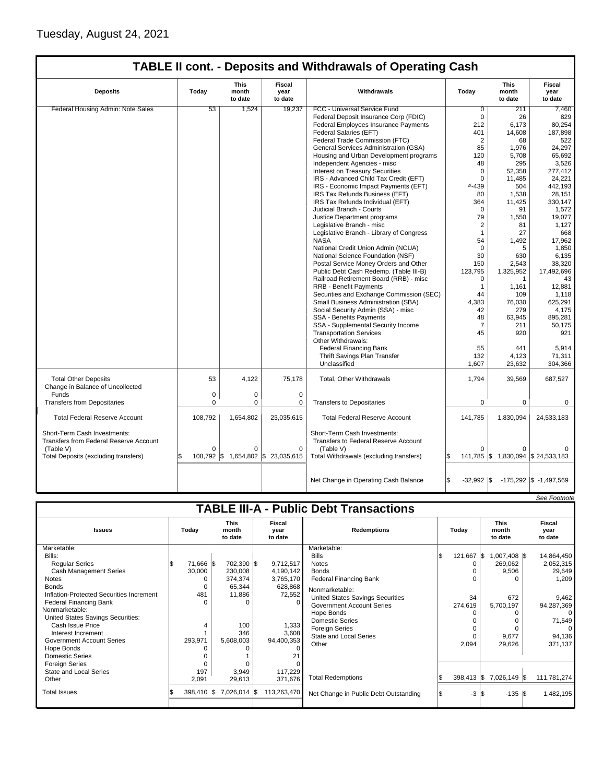|                                                                 |          | This             | Fiscal                 |                                          |                | <b>This</b>                          | Fiscal                             |
|-----------------------------------------------------------------|----------|------------------|------------------------|------------------------------------------|----------------|--------------------------------------|------------------------------------|
| <b>Deposits</b>                                                 | Today    | month<br>to date | year<br>to date        | Withdrawals                              | Todav          | month<br>to date                     | year<br>to date                    |
| Federal Housing Admin: Note Sales                               | 53       | 1,524            | 19,237                 | FCC - Universal Service Fund             | $\overline{0}$ | 211                                  | 7,460                              |
|                                                                 |          |                  |                        | Federal Deposit Insurance Corp (FDIC)    | $\mathbf 0$    | 26                                   | 829                                |
|                                                                 |          |                  |                        | Federal Employees Insurance Payments     | 212            | 6,173                                | 80,254                             |
|                                                                 |          |                  |                        | Federal Salaries (EFT)                   | 401            | 14,608                               | 187,898                            |
|                                                                 |          |                  |                        | Federal Trade Commission (FTC)           | $\overline{2}$ | 68                                   | 522                                |
|                                                                 |          |                  |                        | General Services Administration (GSA)    | 85             | 1,976                                | 24,297                             |
|                                                                 |          |                  |                        | Housing and Urban Development programs   | 120            | 5,708                                | 65,692                             |
|                                                                 |          |                  |                        | Independent Agencies - misc              | 48             | 295                                  | 3,526                              |
|                                                                 |          |                  |                        | <b>Interest on Treasury Securities</b>   | $\Omega$       | 52,358                               | 277,412                            |
|                                                                 |          |                  |                        | IRS - Advanced Child Tax Credit (EFT)    | $\mathbf 0$    | 11,485                               | 24,221                             |
|                                                                 |          |                  |                        | IRS - Economic Impact Payments (EFT)     | $2/ - 439$     | 504                                  | 442,193                            |
|                                                                 |          |                  |                        | IRS Tax Refunds Business (EFT)           | 80             | 1,538                                | 28,151                             |
|                                                                 |          |                  |                        | IRS Tax Refunds Individual (EFT)         | 364            | 11,425                               | 330,147                            |
|                                                                 |          |                  |                        | Judicial Branch - Courts                 | $\Omega$       | 91                                   | 1,572                              |
|                                                                 |          |                  |                        |                                          | 79             | 1.550                                | 19,077                             |
|                                                                 |          |                  |                        | Justice Department programs              |                |                                      |                                    |
|                                                                 |          |                  |                        | Legislative Branch - misc                | $\overline{2}$ | 81                                   | 1,127                              |
|                                                                 |          |                  |                        | Legislative Branch - Library of Congress | $\mathbf{1}$   | 27                                   | 668                                |
|                                                                 |          |                  |                        | <b>NASA</b>                              | 54             | 1,492                                | 17,962                             |
|                                                                 |          |                  |                        | National Credit Union Admin (NCUA)       | $\Omega$       | 5                                    | 1,850                              |
|                                                                 |          |                  |                        | National Science Foundation (NSF)        | 30             | 630                                  | 6,135                              |
|                                                                 |          |                  |                        | Postal Service Money Orders and Other    | 150            | 2,543                                | 38,320                             |
|                                                                 |          |                  |                        | Public Debt Cash Redemp. (Table III-B)   | 123,795        | 1,325,952                            | 17,492,696                         |
|                                                                 |          |                  |                        | Railroad Retirement Board (RRB) - misc   | 0              | $\mathbf{1}$                         | 43                                 |
|                                                                 |          |                  |                        | <b>RRB - Benefit Payments</b>            | $\mathbf{1}$   | 1,161                                | 12.881                             |
|                                                                 |          |                  |                        | Securities and Exchange Commission (SEC) | 44             | 109                                  | 1,118                              |
|                                                                 |          |                  |                        | Small Business Administration (SBA)      | 4.383          | 76,030                               | 625,291                            |
|                                                                 |          |                  |                        | Social Security Admin (SSA) - misc       | 42             | 279                                  | 4,175                              |
|                                                                 |          |                  |                        | <b>SSA - Benefits Payments</b>           | 48             | 63,945                               | 895,281                            |
|                                                                 |          |                  |                        | SSA - Supplemental Security Income       | $\overline{7}$ | 211                                  | 50,175                             |
|                                                                 |          |                  |                        | <b>Transportation Services</b>           | 45             | 920                                  | 921                                |
|                                                                 |          |                  |                        | Other Withdrawals:                       |                |                                      |                                    |
|                                                                 |          |                  |                        | <b>Federal Financing Bank</b>            | 55             | 441                                  | 5,914                              |
|                                                                 |          |                  |                        | Thrift Savings Plan Transfer             | 132            | 4,123                                | 71,311                             |
|                                                                 |          |                  |                        | Unclassified                             | 1,607          | 23,632                               | 304,366                            |
|                                                                 |          |                  |                        |                                          |                |                                      |                                    |
| <b>Total Other Deposits</b><br>Change in Balance of Uncollected | 53       | 4,122            | 75,178                 | Total, Other Withdrawals                 | 1,794          | 39,569                               | 687,527                            |
| Funds                                                           | 0        | 0                | $\mathbf 0$            |                                          |                |                                      |                                    |
| <b>Transfers from Depositaries</b>                              | $\Omega$ | $\Omega$         | $\Omega$               | <b>Transfers to Depositaries</b>         | $\Omega$       | 0                                    | $\Omega$                           |
|                                                                 |          |                  |                        |                                          |                |                                      |                                    |
| <b>Total Federal Reserve Account</b>                            | 108,792  | 1,654,802        | 23,035,615             | <b>Total Federal Reserve Account</b>     | 141,785        | 1,830,094                            | 24,533,183                         |
|                                                                 |          |                  |                        |                                          |                |                                      |                                    |
| Short-Term Cash Investments:                                    |          |                  |                        | Short-Term Cash Investments:             |                |                                      |                                    |
| Transfers from Federal Reserve Account                          |          |                  |                        | Transfers to Federal Reserve Account     |                |                                      |                                    |
| (Table V)                                                       | $\Omega$ | $\Omega$         | $\Omega$               | (Table V)                                | $\Omega$       | $\Omega$                             |                                    |
| Total Deposits (excluding transfers)                            | 108,792  | IS.              | 1,654,802 \$23,035,615 | Total Withdrawals (excluding transfers)  |                | 141,785   \$1,830,094   \$24,533,183 |                                    |
|                                                                 |          |                  |                        |                                          |                |                                      |                                    |
|                                                                 |          |                  |                        |                                          |                |                                      |                                    |
|                                                                 |          |                  |                        | Net Change in Operating Cash Balance     | $-32,992$ \$   |                                      | $-175,292$ $\vert$ \$ $-1,497,569$ |

|                                                                                                                                                                                                                                                                                                                                                                                                                                |                                                                 |                                                                                                                     |                                                                                                                |                                                                                                                                                                                                                                                                                                                               |                                        |                                                                                                        | See Footnote                                                                                                                            |
|--------------------------------------------------------------------------------------------------------------------------------------------------------------------------------------------------------------------------------------------------------------------------------------------------------------------------------------------------------------------------------------------------------------------------------|-----------------------------------------------------------------|---------------------------------------------------------------------------------------------------------------------|----------------------------------------------------------------------------------------------------------------|-------------------------------------------------------------------------------------------------------------------------------------------------------------------------------------------------------------------------------------------------------------------------------------------------------------------------------|----------------------------------------|--------------------------------------------------------------------------------------------------------|-----------------------------------------------------------------------------------------------------------------------------------------|
|                                                                                                                                                                                                                                                                                                                                                                                                                                |                                                                 |                                                                                                                     |                                                                                                                | <b>TABLE III-A - Public Debt Transactions</b>                                                                                                                                                                                                                                                                                 |                                        |                                                                                                        |                                                                                                                                         |
| <b>Issues</b>                                                                                                                                                                                                                                                                                                                                                                                                                  | Today                                                           | <b>This</b><br>month<br>to date                                                                                     | Fiscal<br>year<br>to date                                                                                      | <b>Redemptions</b>                                                                                                                                                                                                                                                                                                            | Todav                                  | <b>This</b><br>month<br>to date                                                                        | Fiscal<br>year<br>to date                                                                                                               |
| Marketable:<br>Bills:<br><b>Regular Series</b><br><b>Cash Management Series</b><br><b>Notes</b><br><b>Bonds</b><br>Inflation-Protected Securities Increment<br>Federal Financing Bank<br>Nonmarketable:<br>United States Savings Securities:<br>Cash Issue Price<br>Interest Increment<br><b>Government Account Series</b><br>Hope Bonds<br><b>Domestic Series</b><br><b>Foreign Series</b><br>State and Local Series<br>Other | 71,666 \$<br>30,000<br>0<br>481<br>4<br>293,971<br>197<br>2,091 | 702,390 \$<br>230,008<br>374,374<br>65,344<br>11,886<br>$\Omega$<br>100<br>346<br>5,608,003<br>0<br>3,949<br>29,613 | 9,712,517<br>4,190,142<br>3,765,170<br>628,868<br>72,552<br>1,333<br>3,608<br>94,400,353<br>117,229<br>371,676 | Marketable:<br><b>Bills</b><br><b>Notes</b><br><b>Bonds</b><br><b>Federal Financing Bank</b><br>Nonmarketable:<br>United States Savings Securities<br><b>Government Account Series</b><br>Hope Bonds<br><b>Domestic Series</b><br><b>Foreign Series</b><br><b>State and Local Series</b><br>Other<br><b>Total Redemptions</b> | $121,667$ \$<br>34<br>274,619<br>2,094 | 8 007,408 0.<br>269,062<br>9,506<br>672<br>5,700,197<br>0<br>9,677<br>29,626<br>398,413 \$7,026,149 \$ | 14,864,450<br>2,052,315<br>29,649<br>1,209<br>9,462<br>94,287,369<br>$\Omega$<br>71,549<br>$\Omega$<br>94,136<br>371,137<br>111,781,274 |
| <b>Total Issues</b>                                                                                                                                                                                                                                                                                                                                                                                                            | $398,410$ \\$                                                   | 7,026,014 \$                                                                                                        | 113,263,470                                                                                                    | Net Change in Public Debt Outstanding                                                                                                                                                                                                                                                                                         | $-3$<br>1\$                            | $-135$ $\sqrt{3}$<br>I\$                                                                               | 1,482,195                                                                                                                               |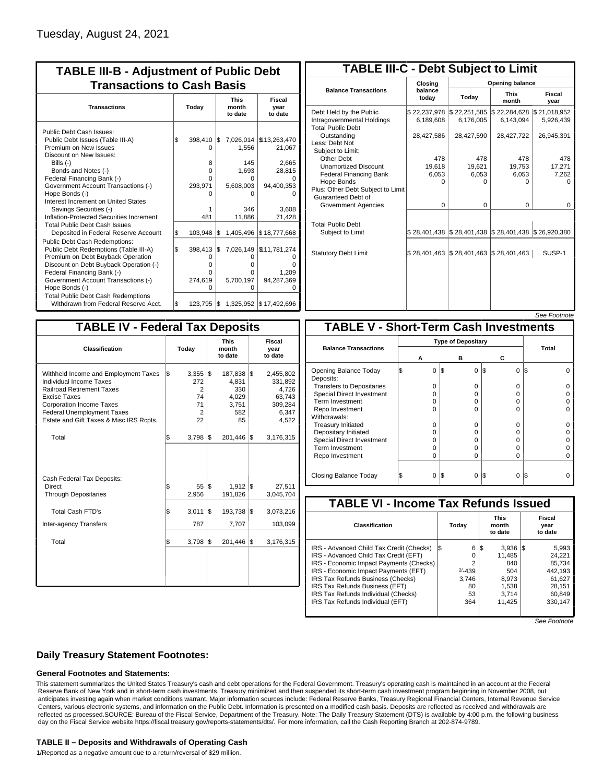| <b>TABLE III-B - Adjustment of Public Debt</b><br><b>Transactions to Cash Basis</b> |                                                                      |                                                                                        |  |  |  |  |  |  |
|-------------------------------------------------------------------------------------|----------------------------------------------------------------------|----------------------------------------------------------------------------------------|--|--|--|--|--|--|
| Today                                                                               | <b>This</b><br>month<br>to date                                      | <b>Fiscal</b><br>year<br>to date                                                       |  |  |  |  |  |  |
| 398,410<br>O<br>8<br>0<br>0<br>293,971<br>ი<br>481                                  | I\$<br>1,556<br>145<br>1,693<br>o<br>5,608,003<br>ი<br>346<br>11,886 | 7,026,014   \$13,263,470<br>21,067<br>2,665<br>28,815<br>94,400,353<br>3,608<br>71,428 |  |  |  |  |  |  |
| 103,948<br>398,413<br>0<br>o<br>0<br>274,619<br>$\Omega$                            | l\$<br>I\$<br>O<br>o<br>o<br>5,700,197<br>O                          | 1,405,496 \$18,777,668<br>7,026,149   \$11,781,274<br>1.209<br>94,287,369              |  |  |  |  |  |  |
|                                                                                     |                                                                      | 1,325,952 \$17,492,696<br>$123,795$ $\sqrt{5}$                                         |  |  |  |  |  |  |

| <b>TABLE III-C - Debt Subject to Limit</b>                                        |                           |                                                           |                           |                           |  |  |  |  |  |
|-----------------------------------------------------------------------------------|---------------------------|-----------------------------------------------------------|---------------------------|---------------------------|--|--|--|--|--|
|                                                                                   | Closing                   | Opening balance                                           |                           |                           |  |  |  |  |  |
| <b>Balance Transactions</b>                                                       | balance<br>Today<br>todav |                                                           | <b>This</b><br>month      | Fiscal<br>year            |  |  |  |  |  |
| Debt Held by the Public<br>Intragovernmental Holdings<br><b>Total Public Debt</b> | \$22,237,978<br>6,189,608 | \$22,251,585<br>6,176,005                                 | \$22,284,628<br>6,143,094 | \$21,018,952<br>5,926,439 |  |  |  |  |  |
| Outstanding<br>Less: Debt Not<br>Subject to Limit:                                | 28,427,586                | 28,427,590                                                | 28,427,722                | 26,945,391                |  |  |  |  |  |
| <b>Other Debt</b>                                                                 | 478                       | 478                                                       | 478                       | 478                       |  |  |  |  |  |
| <b>Unamortized Discount</b>                                                       | 19,618                    | 19,621                                                    | 19,753                    | 17,271                    |  |  |  |  |  |
| <b>Federal Financing Bank</b>                                                     | 6,053                     | 6,053                                                     | 6,053                     | 7,262                     |  |  |  |  |  |
| Hope Bonds                                                                        | O                         | O                                                         | o                         | o                         |  |  |  |  |  |
| Plus: Other Debt Subject to Limit<br>Guaranteed Debt of                           |                           |                                                           |                           |                           |  |  |  |  |  |
| Government Agencies                                                               | $\Omega$                  | $\Omega$                                                  | $\Omega$                  | 0                         |  |  |  |  |  |
| <b>Total Public Debt</b><br>Subject to Limit                                      |                           | \$28,401,438   \$28,401,438   \$28,401,438   \$26,920,380 |                           |                           |  |  |  |  |  |
|                                                                                   |                           |                                                           |                           |                           |  |  |  |  |  |
| <b>Statutory Debt Limit</b>                                                       | \$28,401,463              | \$28,401,463                                              | \$28,401,463              | SUSP-1                    |  |  |  |  |  |
|                                                                                   |                           |                                                           |                           |                           |  |  |  |  |  |

See Footnote

| <b>TABLE IV - Federal Tax Deposits</b>                                                                                                                                                                                                 |                                                             |                                                        |                                                                             |  |  |  |  |  |
|----------------------------------------------------------------------------------------------------------------------------------------------------------------------------------------------------------------------------------------|-------------------------------------------------------------|--------------------------------------------------------|-----------------------------------------------------------------------------|--|--|--|--|--|
| Classification                                                                                                                                                                                                                         | <b>This</b><br>Today<br>month<br>to date                    |                                                        | Fiscal<br>year<br>to date                                                   |  |  |  |  |  |
| Withheld Income and Employment Taxes<br>Individual Income Taxes<br><b>Railroad Retirement Taxes</b><br>Excise Taxes<br><b>Corporation Income Taxes</b><br><b>Federal Unemployment Taxes</b><br>Estate and Gift Taxes & Misc IRS Rcpts. | \$<br>$3,355$ $\sqrt{3}$<br>272<br>2<br>74<br>71<br>2<br>22 | 187,838<br>4,831<br>330<br>4,029<br>3,751<br>582<br>85 | 1\$<br>2,455,802<br>331,892<br>4,726<br>63,743<br>309,284<br>6,347<br>4,522 |  |  |  |  |  |
| Total                                                                                                                                                                                                                                  | \$<br>3,798                                                 | 1\$<br>201,446                                         | 1\$<br>3,176,315                                                            |  |  |  |  |  |
| Cash Federal Tax Deposits:<br>Direct<br><b>Through Depositaries</b>                                                                                                                                                                    | \$<br>55<br>2,956                                           | 1\$<br>1,912<br>191,826                                | 27,511<br>1\$<br>3,045,704                                                  |  |  |  |  |  |
| <b>Total Cash FTD's</b><br><b>Inter-agency Transfers</b>                                                                                                                                                                               | \$<br>3,011<br>787                                          | l\$<br>193,738<br>7,707                                | 1\$<br>3,073,216<br>103,099                                                 |  |  |  |  |  |
| Total                                                                                                                                                                                                                                  | \$<br>3,798                                                 | l\$<br>201,446                                         | 1\$<br>3,176,315                                                            |  |  |  |  |  |
|                                                                                                                                                                                                                                        |                                                             |                                                        |                                                                             |  |  |  |  |  |

|                                              |                           |     |          |                 | סט <i>ו</i> ווטט ו ססט |  |  |  |
|----------------------------------------------|---------------------------|-----|----------|-----------------|------------------------|--|--|--|
| <b>TABLE V - Short-Term Cash Investments</b> |                           |     |          |                 |                        |  |  |  |
|                                              | <b>Type of Depositary</b> |     |          |                 |                        |  |  |  |
| <b>Balance Transactions</b>                  | А                         |     | в        | С               | Total                  |  |  |  |
|                                              |                           |     |          |                 |                        |  |  |  |
| Opening Balance Today<br>Deposits:           | 0<br>S                    | 1\$ | 0        | I\$<br>0        | IS                     |  |  |  |
| <b>Transfers to Depositaries</b>             | $\Omega$                  |     | $\Omega$ | O               |                        |  |  |  |
| <b>Special Direct Investment</b>             | O                         |     | 0        | 0               |                        |  |  |  |
| Term Investment                              | O                         |     | $\Omega$ | 0               |                        |  |  |  |
| Repo Investment                              | ŋ                         |     | $\Omega$ | O               |                        |  |  |  |
| Withdrawals:                                 |                           |     |          |                 |                        |  |  |  |
| <b>Treasury Initiated</b>                    | 0                         |     | $\Omega$ | $\Omega$        |                        |  |  |  |
| Depositary Initiated                         | O                         |     | 0        | 0               |                        |  |  |  |
| <b>Special Direct Investment</b>             | O                         |     | 0        | 0               |                        |  |  |  |
| <b>Term Investment</b>                       | O                         |     | $\Omega$ | 0               |                        |  |  |  |
| Repo Investment                              | 0                         |     | $\Omega$ | 0               |                        |  |  |  |
|                                              |                           |     |          |                 |                        |  |  |  |
| Closing Balance Today                        | $\Omega$<br>S             | l\$ | $\Omega$ | I\$<br>$\Omega$ | l\$                    |  |  |  |

| <b>TABLE VI - Income Tax Refunds Issued</b> |                                                |   |                                 |  |                           |  |  |  |  |
|---------------------------------------------|------------------------------------------------|---|---------------------------------|--|---------------------------|--|--|--|--|
|                                             | Today                                          |   | <b>This</b><br>month<br>to date |  | Fiscal<br>year<br>to date |  |  |  |  |
|                                             |                                                |   |                                 |  | 5,993                     |  |  |  |  |
|                                             | 0                                              |   | 11.485                          |  | 24.221                    |  |  |  |  |
|                                             | 2                                              |   | 840                             |  | 85.734                    |  |  |  |  |
|                                             | $2/-439$                                       |   | 504                             |  | 442.193                   |  |  |  |  |
|                                             | 3.746                                          |   | 8.973                           |  | 61.627                    |  |  |  |  |
|                                             | 80                                             |   | 1,538                           |  | 28.151                    |  |  |  |  |
|                                             | 53                                             |   | 3,714                           |  | 60,849                    |  |  |  |  |
|                                             | 364                                            |   | 11,425                          |  | 330.147                   |  |  |  |  |
|                                             | 1\$<br>IRS - Economic Impact Payments (Checks) | 6 | 1\$                             |  | $3,936$ $\vert \$\$       |  |  |  |  |

See Footnote

### **Daily Treasury Statement Footnotes:**

### **General Footnotes and Statements:**

This statement summarizes the United States Treasury's cash and debt operations for the Federal Government. Treasury's operating cash is maintained in an account at the Federal Reserve Bank of New York and in short-term cash investments. Treasury minimized and then suspended its short-term cash investment program beginning in November 2008, but anticipates investing again when market conditions warrant. Major information sources include: Federal Reserve Banks, Treasury Regional Financial Centers, Internal Revenue Service Centers, various electronic systems, and information on the Public Debt. Information is presented on a modified cash basis. Deposits are reflected as received and withdrawals are reflected as processed.SOURCE: Bureau of the Fiscal Service, Department of the Treasury. Note: The Daily Treasury Statement (DTS) is available by 4:00 p.m. the following business day on the Fiscal Service website https://fiscal.treasury.gov/reports-statements/dts/. For more information, call the Cash Reporting Branch at 202-874-9789.

#### **TABLE II – Deposits and Withdrawals of Operating Cash**

1/Reported as a negative amount due to a return/reversal of \$29 million.